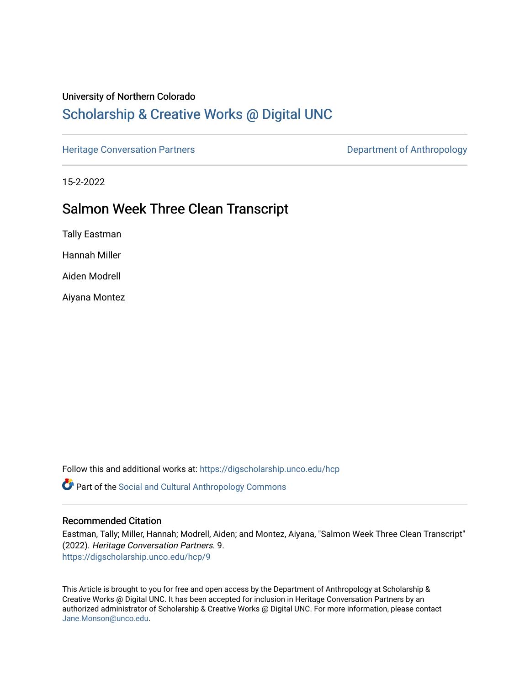#### University of Northern Colorado

# [Scholarship & Creative Works @ Digital UNC](https://digscholarship.unco.edu/)

[Heritage Conversation Partners](https://digscholarship.unco.edu/hcp) **Department of Anthropology** 

15-2-2022

## Salmon Week Three Clean Transcript

Tally Eastman

Hannah Miller

Aiden Modrell

Aiyana Montez

Follow this and additional works at: [https://digscholarship.unco.edu/hcp](https://digscholarship.unco.edu/hcp?utm_source=digscholarship.unco.edu%2Fhcp%2F9&utm_medium=PDF&utm_campaign=PDFCoverPages) 

Part of the [Social and Cultural Anthropology Commons](http://network.bepress.com/hgg/discipline/323?utm_source=digscholarship.unco.edu%2Fhcp%2F9&utm_medium=PDF&utm_campaign=PDFCoverPages) 

#### Recommended Citation

Eastman, Tally; Miller, Hannah; Modrell, Aiden; and Montez, Aiyana, "Salmon Week Three Clean Transcript" (2022). Heritage Conversation Partners. 9. [https://digscholarship.unco.edu/hcp/9](https://digscholarship.unco.edu/hcp/9?utm_source=digscholarship.unco.edu%2Fhcp%2F9&utm_medium=PDF&utm_campaign=PDFCoverPages)

This Article is brought to you for free and open access by the Department of Anthropology at Scholarship & Creative Works @ Digital UNC. It has been accepted for inclusion in Heritage Conversation Partners by an authorized administrator of Scholarship & Creative Works @ Digital UNC. For more information, please contact [Jane.Monson@unco.edu.](mailto:Jane.Monson@unco.edu)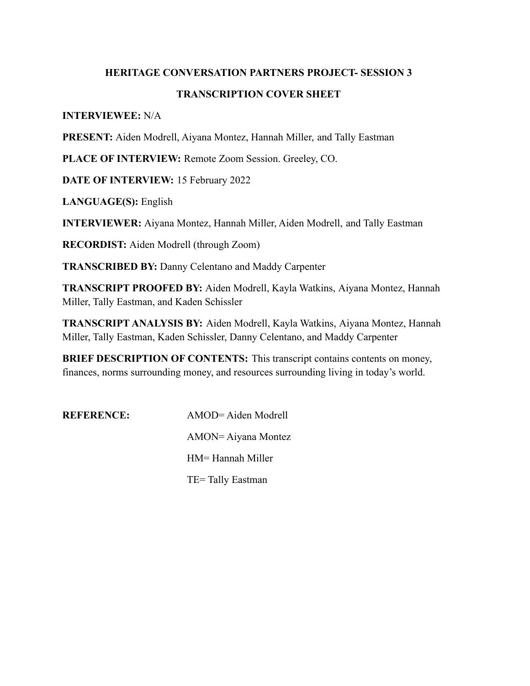# **HERITAGE CONVERSATION PARTNERS PROJECT- SESSION 3 TRANSCRIPTION COVER SHEET**

#### **INTERVIEWEE:** N/A

**PRESENT:** Aiden Modrell, Aiyana Montez, Hannah Miller, and Tally Eastman

**PLACE OF INTERVIEW:** Remote Zoom Session. Greeley, CO.

**DATE OF INTERVIEW:** 15 February 2022

**LANGUAGE(S):** English

**INTERVIEWER:** Aiyana Montez, Hannah Miller, Aiden Modrell, and Tally Eastman

**RECORDIST:** Aiden Modrell (through Zoom)

**TRANSCRIBED BY:** Danny Celentano and Maddy Carpenter

**TRANSCRIPT PROOFED BY:** Aiden Modrell, Kayla Watkins, Aiyana Montez, Hannah Miller, Tally Eastman, and Kaden Schissler

**TRANSCRIPT ANALYSIS BY:** Aiden Modrell, Kayla Watkins, Aiyana Montez, Hannah Miller, Tally Eastman, Kaden Schissler, Danny Celentano, and Maddy Carpenter

**BRIEF DESCRIPTION OF CONTENTS:** This transcript contains contents on money, finances, norms surrounding money, and resources surrounding living in today's world.

**REFERENCE:** AMOD= Aiden Modrell AMON= Aiyana Montez HM= Hannah Miller TE= Tally Eastman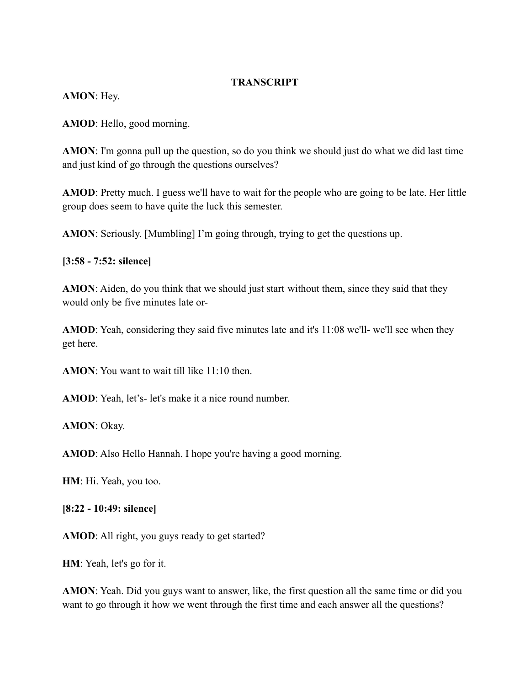#### **TRANSCRIPT**

**AMON**: Hey.

**AMOD**: Hello, good morning.

**AMON**: I'm gonna pull up the question, so do you think we should just do what we did last time and just kind of go through the questions ourselves?

**AMOD**: Pretty much. I guess we'll have to wait for the people who are going to be late. Her little group does seem to have quite the luck this semester.

**AMON**: Seriously. [Mumbling] I'm going through, trying to get the questions up.

**[3:58 - 7:52: silence]**

**AMON**: Aiden, do you think that we should just start without them, since they said that they would only be five minutes late or-

**AMOD**: Yeah, considering they said five minutes late and it's 11:08 we'll- we'll see when they get here.

**AMON**: You want to wait till like 11:10 then.

AMOD: Yeah, let's- let's make it a nice round number.

**AMON**: Okay.

**AMOD**: Also Hello Hannah. I hope you're having a good morning.

**HM**: Hi. Yeah, you too.

**[8:22 - 10:49: silence]**

**AMOD**: All right, you guys ready to get started?

**HM**: Yeah, let's go for it.

**AMON**: Yeah. Did you guys want to answer, like, the first question all the same time or did you want to go through it how we went through the first time and each answer all the questions?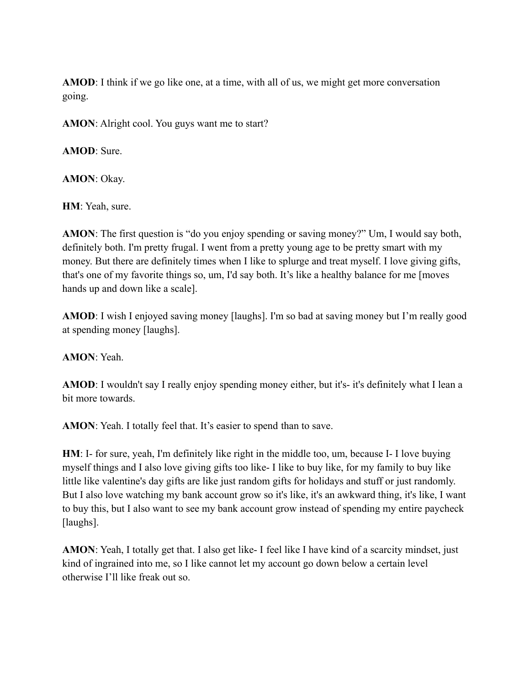**AMOD**: I think if we go like one, at a time, with all of us, we might get more conversation going.

**AMON**: Alright cool. You guys want me to start?

**AMOD**: Sure.

**AMON**: Okay.

**HM**: Yeah, sure.

**AMON**: The first question is "do you enjoy spending or saving money?" Um, I would say both, definitely both. I'm pretty frugal. I went from a pretty young age to be pretty smart with my money. But there are definitely times when I like to splurge and treat myself. I love giving gifts, that's one of my favorite things so, um, I'd say both. It's like a healthy balance for me [moves hands up and down like a scale].

**AMOD**: I wish I enjoyed saving money [laughs]. I'm so bad at saving money but I'm really good at spending money [laughs].

**AMON**: Yeah.

**AMOD**: I wouldn't say I really enjoy spending money either, but it's- it's definitely what I lean a bit more towards.

**AMON**: Yeah. I totally feel that. It's easier to spend than to save.

**HM**: I- for sure, yeah, I'm definitely like right in the middle too, um, because I- I love buying myself things and I also love giving gifts too like- I like to buy like, for my family to buy like little like valentine's day gifts are like just random gifts for holidays and stuff or just randomly. But I also love watching my bank account grow so it's like, it's an awkward thing, it's like, I want to buy this, but I also want to see my bank account grow instead of spending my entire paycheck [laughs].

**AMON**: Yeah, I totally get that. I also get like- I feel like I have kind of a scarcity mindset, just kind of ingrained into me, so I like cannot let my account go down below a certain level otherwise I'll like freak out so.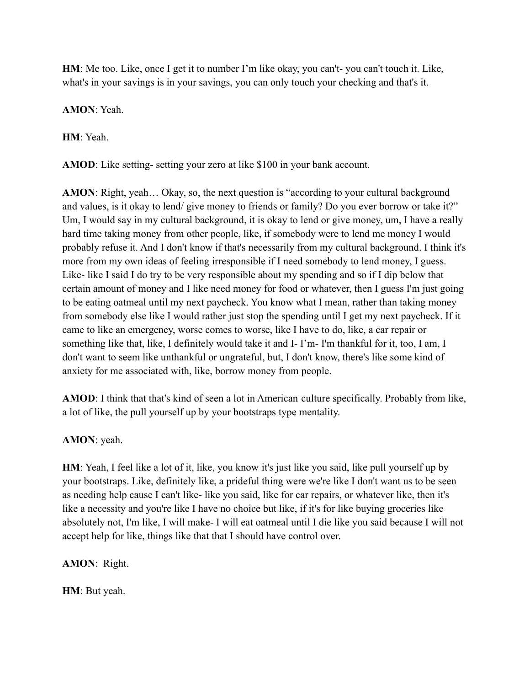**HM**: Me too. Like, once I get it to number I'm like okay, you can't- you can't touch it. Like, what's in your savings is in your savings, you can only touch your checking and that's it.

**AMON**: Yeah.

**HM**: Yeah.

**AMOD**: Like setting- setting your zero at like \$100 in your bank account.

**AMON**: Right, yeah… Okay, so, the next question is "according to your cultural background and values, is it okay to lend/ give money to friends or family? Do you ever borrow or take it?" Um, I would say in my cultural background, it is okay to lend or give money, um, I have a really hard time taking money from other people, like, if somebody were to lend me money I would probably refuse it. And I don't know if that's necessarily from my cultural background. I think it's more from my own ideas of feeling irresponsible if I need somebody to lend money, I guess. Like- like I said I do try to be very responsible about my spending and so if I dip below that certain amount of money and I like need money for food or whatever, then I guess I'm just going to be eating oatmeal until my next paycheck. You know what I mean, rather than taking money from somebody else like I would rather just stop the spending until I get my next paycheck. If it came to like an emergency, worse comes to worse, like I have to do, like, a car repair or something like that, like, I definitely would take it and I- I'm- I'm thankful for it, too, I am, I don't want to seem like unthankful or ungrateful, but, I don't know, there's like some kind of anxiety for me associated with, like, borrow money from people.

**AMOD**: I think that that's kind of seen a lot in American culture specifically. Probably from like, a lot of like, the pull yourself up by your bootstraps type mentality.

### **AMON**: yeah.

**HM**: Yeah, I feel like a lot of it, like, you know it's just like you said, like pull yourself up by your bootstraps. Like, definitely like, a prideful thing were we're like I don't want us to be seen as needing help cause I can't like- like you said, like for car repairs, or whatever like, then it's like a necessity and you're like I have no choice but like, if it's for like buying groceries like absolutely not, I'm like, I will make- I will eat oatmeal until I die like you said because I will not accept help for like, things like that that I should have control over.

**AMON**: Right.

**HM**: But yeah.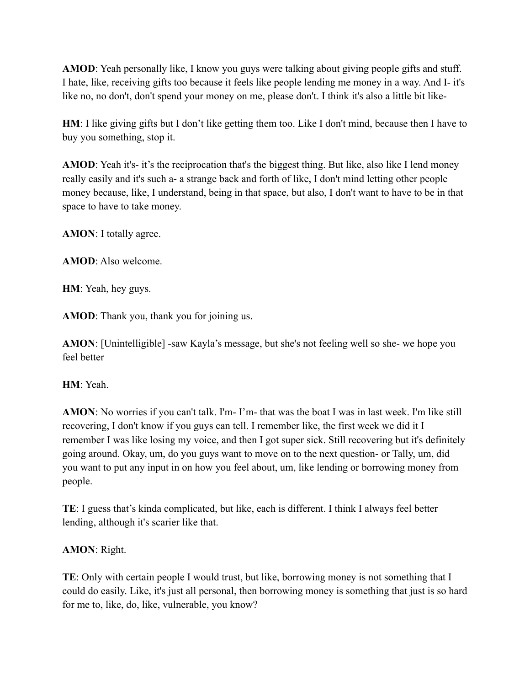**AMOD**: Yeah personally like, I know you guys were talking about giving people gifts and stuff. I hate, like, receiving gifts too because it feels like people lending me money in a way. And I- it's like no, no don't, don't spend your money on me, please don't. I think it's also a little bit like-

**HM**: I like giving gifts but I don't like getting them too. Like I don't mind, because then I have to buy you something, stop it.

**AMOD**: Yeah it's- it's the reciprocation that's the biggest thing. But like, also like I lend money really easily and it's such a- a strange back and forth of like, I don't mind letting other people money because, like, I understand, being in that space, but also, I don't want to have to be in that space to have to take money.

**AMON**: I totally agree.

**AMOD**: Also welcome.

**HM**: Yeah, hey guys.

**AMOD**: Thank you, thank you for joining us.

**AMON**: [Unintelligible] -saw Kayla's message, but she's not feeling well so she- we hope you feel better

## **HM**: Yeah.

**AMON**: No worries if you can't talk. I'm- I'm- that was the boat I was in last week. I'm like still recovering, I don't know if you guys can tell. I remember like, the first week we did it I remember I was like losing my voice, and then I got super sick. Still recovering but it's definitely going around. Okay, um, do you guys want to move on to the next question- or Tally, um, did you want to put any input in on how you feel about, um, like lending or borrowing money from people.

**TE**: I guess that's kinda complicated, but like, each is different. I think I always feel better lending, although it's scarier like that.

### **AMON**: Right.

**TE**: Only with certain people I would trust, but like, borrowing money is not something that I could do easily. Like, it's just all personal, then borrowing money is something that just is so hard for me to, like, do, like, vulnerable, you know?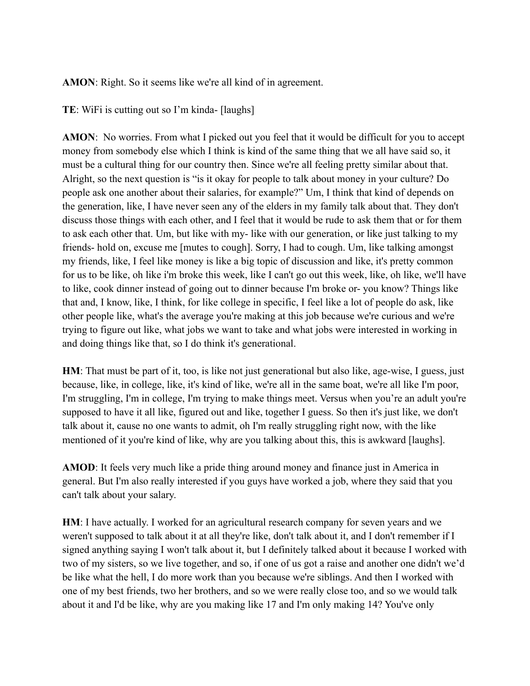**AMON**: Right. So it seems like we're all kind of in agreement.

**TE**: WiFi is cutting out so I'm kinda- [laughs]

**AMON**: No worries. From what I picked out you feel that it would be difficult for you to accept money from somebody else which I think is kind of the same thing that we all have said so, it must be a cultural thing for our country then. Since we're all feeling pretty similar about that. Alright, so the next question is "is it okay for people to talk about money in your culture? Do people ask one another about their salaries, for example?" Um, I think that kind of depends on the generation, like, I have never seen any of the elders in my family talk about that. They don't discuss those things with each other, and I feel that it would be rude to ask them that or for them to ask each other that. Um, but like with my- like with our generation, or like just talking to my friends- hold on, excuse me [mutes to cough]. Sorry, I had to cough. Um, like talking amongst my friends, like, I feel like money is like a big topic of discussion and like, it's pretty common for us to be like, oh like i'm broke this week, like I can't go out this week, like, oh like, we'll have to like, cook dinner instead of going out to dinner because I'm broke or- you know? Things like that and, I know, like, I think, for like college in specific, I feel like a lot of people do ask, like other people like, what's the average you're making at this job because we're curious and we're trying to figure out like, what jobs we want to take and what jobs were interested in working in and doing things like that, so I do think it's generational.

**HM**: That must be part of it, too, is like not just generational but also like, age-wise, I guess, just because, like, in college, like, it's kind of like, we're all in the same boat, we're all like I'm poor, I'm struggling, I'm in college, I'm trying to make things meet. Versus when you're an adult you're supposed to have it all like, figured out and like, together I guess. So then it's just like, we don't talk about it, cause no one wants to admit, oh I'm really struggling right now, with the like mentioned of it you're kind of like, why are you talking about this, this is awkward [laughs].

**AMOD**: It feels very much like a pride thing around money and finance just in America in general. But I'm also really interested if you guys have worked a job, where they said that you can't talk about your salary.

**HM**: I have actually. I worked for an agricultural research company for seven years and we weren't supposed to talk about it at all they're like, don't talk about it, and I don't remember if I signed anything saying I won't talk about it, but I definitely talked about it because I worked with two of my sisters, so we live together, and so, if one of us got a raise and another one didn't we'd be like what the hell, I do more work than you because we're siblings. And then I worked with one of my best friends, two her brothers, and so we were really close too, and so we would talk about it and I'd be like, why are you making like 17 and I'm only making 14? You've only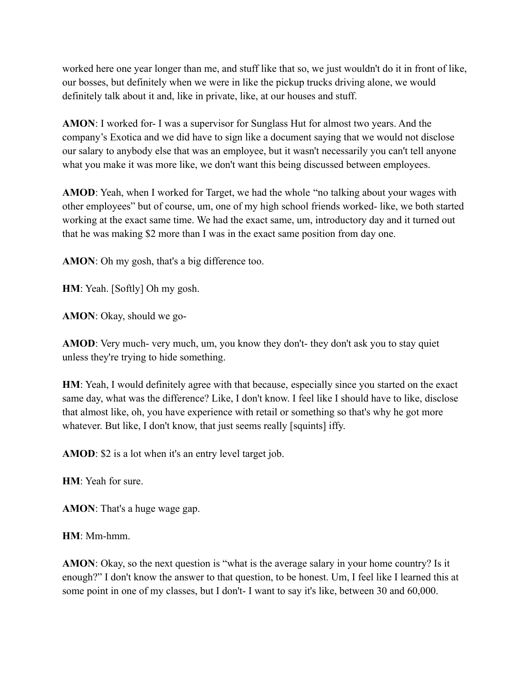worked here one year longer than me, and stuff like that so, we just wouldn't do it in front of like, our bosses, but definitely when we were in like the pickup trucks driving alone, we would definitely talk about it and, like in private, like, at our houses and stuff.

**AMON**: I worked for- I was a supervisor for Sunglass Hut for almost two years. And the company's Exotica and we did have to sign like a document saying that we would not disclose our salary to anybody else that was an employee, but it wasn't necessarily you can't tell anyone what you make it was more like, we don't want this being discussed between employees.

**AMOD**: Yeah, when I worked for Target, we had the whole "no talking about your wages with other employees" but of course, um, one of my high school friends worked- like, we both started working at the exact same time. We had the exact same, um, introductory day and it turned out that he was making \$2 more than I was in the exact same position from day one.

**AMON**: Oh my gosh, that's a big difference too.

**HM**: Yeah. [Softly] Oh my gosh.

**AMON**: Okay, should we go-

**AMOD**: Very much- very much, um, you know they don't- they don't ask you to stay quiet unless they're trying to hide something.

**HM**: Yeah, I would definitely agree with that because, especially since you started on the exact same day, what was the difference? Like, I don't know. I feel like I should have to like, disclose that almost like, oh, you have experience with retail or something so that's why he got more whatever. But like, I don't know, that just seems really [squints] iffy.

**AMOD**: \$2 is a lot when it's an entry level target job.

**HM**: Yeah for sure.

**AMON**: That's a huge wage gap.

**HM**: Mm-hmm.

**AMON**: Okay, so the next question is "what is the average salary in your home country? Is it enough?" I don't know the answer to that question, to be honest. Um, I feel like I learned this at some point in one of my classes, but I don't- I want to say it's like, between 30 and 60,000.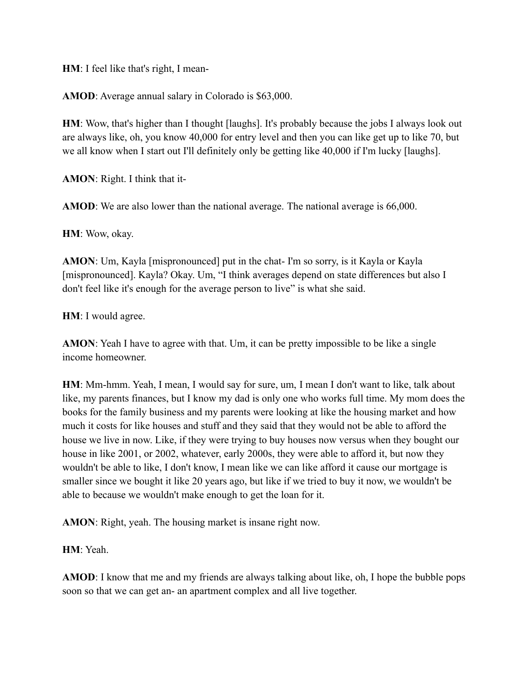**HM**: I feel like that's right, I mean-

**AMOD**: Average annual salary in Colorado is \$63,000.

**HM**: Wow, that's higher than I thought [laughs]. It's probably because the jobs I always look out are always like, oh, you know 40,000 for entry level and then you can like get up to like 70, but we all know when I start out I'll definitely only be getting like 40,000 if I'm lucky [laughs].

**AMON**: Right. I think that it-

**AMOD**: We are also lower than the national average. The national average is 66,000.

**HM**: Wow, okay.

**AMON**: Um, Kayla [mispronounced] put in the chat- I'm so sorry, is it Kayla or Kayla [mispronounced]. Kayla? Okay. Um, "I think averages depend on state differences but also I don't feel like it's enough for the average person to live" is what she said.

**HM**: I would agree.

**AMON**: Yeah I have to agree with that. Um, it can be pretty impossible to be like a single income homeowner.

**HM**: Mm-hmm. Yeah, I mean, I would say for sure, um, I mean I don't want to like, talk about like, my parents finances, but I know my dad is only one who works full time. My mom does the books for the family business and my parents were looking at like the housing market and how much it costs for like houses and stuff and they said that they would not be able to afford the house we live in now. Like, if they were trying to buy houses now versus when they bought our house in like 2001, or 2002, whatever, early 2000s, they were able to afford it, but now they wouldn't be able to like, I don't know, I mean like we can like afford it cause our mortgage is smaller since we bought it like 20 years ago, but like if we tried to buy it now, we wouldn't be able to because we wouldn't make enough to get the loan for it.

**AMON**: Right, yeah. The housing market is insane right now.

**HM**: Yeah.

**AMOD**: I know that me and my friends are always talking about like, oh, I hope the bubble pops soon so that we can get an- an apartment complex and all live together.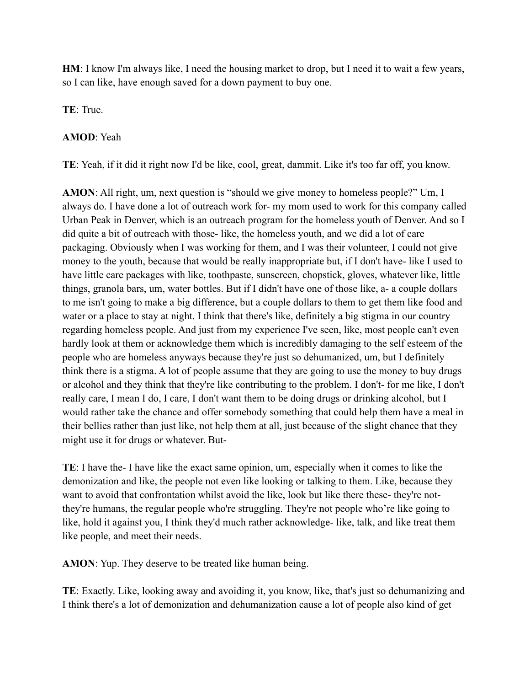**HM**: I know I'm always like, I need the housing market to drop, but I need it to wait a few years, so I can like, have enough saved for a down payment to buy one.

**TE**: True.

## **AMOD**: Yeah

**TE**: Yeah, if it did it right now I'd be like, cool, great, dammit. Like it's too far off, you know.

**AMON**: All right, um, next question is "should we give money to homeless people?" Um, I always do. I have done a lot of outreach work for- my mom used to work for this company called Urban Peak in Denver, which is an outreach program for the homeless youth of Denver. And so I did quite a bit of outreach with those- like, the homeless youth, and we did a lot of care packaging. Obviously when I was working for them, and I was their volunteer, I could not give money to the youth, because that would be really inappropriate but, if I don't have- like I used to have little care packages with like, toothpaste, sunscreen, chopstick, gloves, whatever like, little things, granola bars, um, water bottles. But if I didn't have one of those like, a- a couple dollars to me isn't going to make a big difference, but a couple dollars to them to get them like food and water or a place to stay at night. I think that there's like, definitely a big stigma in our country regarding homeless people. And just from my experience I've seen, like, most people can't even hardly look at them or acknowledge them which is incredibly damaging to the self esteem of the people who are homeless anyways because they're just so dehumanized, um, but I definitely think there is a stigma. A lot of people assume that they are going to use the money to buy drugs or alcohol and they think that they're like contributing to the problem. I don't- for me like, I don't really care, I mean I do, I care, I don't want them to be doing drugs or drinking alcohol, but I would rather take the chance and offer somebody something that could help them have a meal in their bellies rather than just like, not help them at all, just because of the slight chance that they might use it for drugs or whatever. But-

**TE**: I have the- I have like the exact same opinion, um, especially when it comes to like the demonization and like, the people not even like looking or talking to them. Like, because they want to avoid that confrontation whilst avoid the like, look but like there these- they're notthey're humans, the regular people who're struggling. They're not people who're like going to like, hold it against you, I think they'd much rather acknowledge- like, talk, and like treat them like people, and meet their needs.

**AMON**: Yup. They deserve to be treated like human being.

**TE**: Exactly. Like, looking away and avoiding it, you know, like, that's just so dehumanizing and I think there's a lot of demonization and dehumanization cause a lot of people also kind of get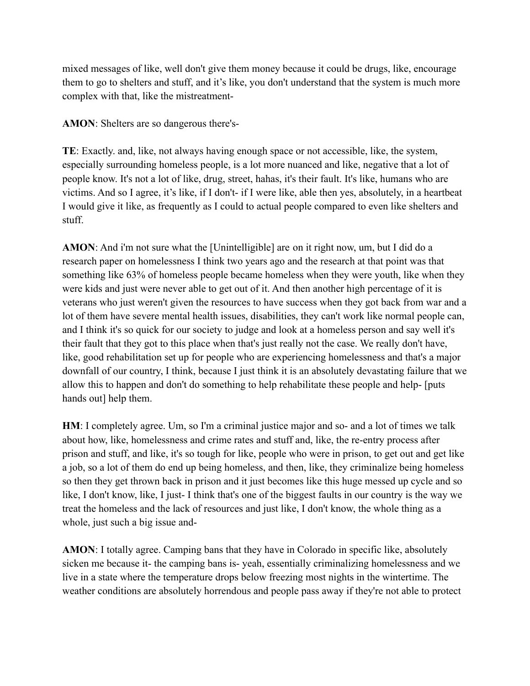mixed messages of like, well don't give them money because it could be drugs, like, encourage them to go to shelters and stuff, and it's like, you don't understand that the system is much more complex with that, like the mistreatment-

**AMON**: Shelters are so dangerous there's-

**TE**: Exactly. and, like, not always having enough space or not accessible, like, the system, especially surrounding homeless people, is a lot more nuanced and like, negative that a lot of people know. It's not a lot of like, drug, street, hahas, it's their fault. It's like, humans who are victims. And so I agree, it's like, if I don't- if I were like, able then yes, absolutely, in a heartbeat I would give it like, as frequently as I could to actual people compared to even like shelters and stuff.

**AMON**: And i'm not sure what the [Unintelligible] are on it right now, um, but I did do a research paper on homelessness I think two years ago and the research at that point was that something like 63% of homeless people became homeless when they were youth, like when they were kids and just were never able to get out of it. And then another high percentage of it is veterans who just weren't given the resources to have success when they got back from war and a lot of them have severe mental health issues, disabilities, they can't work like normal people can, and I think it's so quick for our society to judge and look at a homeless person and say well it's their fault that they got to this place when that's just really not the case. We really don't have, like, good rehabilitation set up for people who are experiencing homelessness and that's a major downfall of our country, I think, because I just think it is an absolutely devastating failure that we allow this to happen and don't do something to help rehabilitate these people and help- [puts hands out] help them.

**HM**: I completely agree. Um, so I'm a criminal justice major and so- and a lot of times we talk about how, like, homelessness and crime rates and stuff and, like, the re-entry process after prison and stuff, and like, it's so tough for like, people who were in prison, to get out and get like a job, so a lot of them do end up being homeless, and then, like, they criminalize being homeless so then they get thrown back in prison and it just becomes like this huge messed up cycle and so like, I don't know, like, I just- I think that's one of the biggest faults in our country is the way we treat the homeless and the lack of resources and just like, I don't know, the whole thing as a whole, just such a big issue and-

**AMON**: I totally agree. Camping bans that they have in Colorado in specific like, absolutely sicken me because it- the camping bans is- yeah, essentially criminalizing homelessness and we live in a state where the temperature drops below freezing most nights in the wintertime. The weather conditions are absolutely horrendous and people pass away if they're not able to protect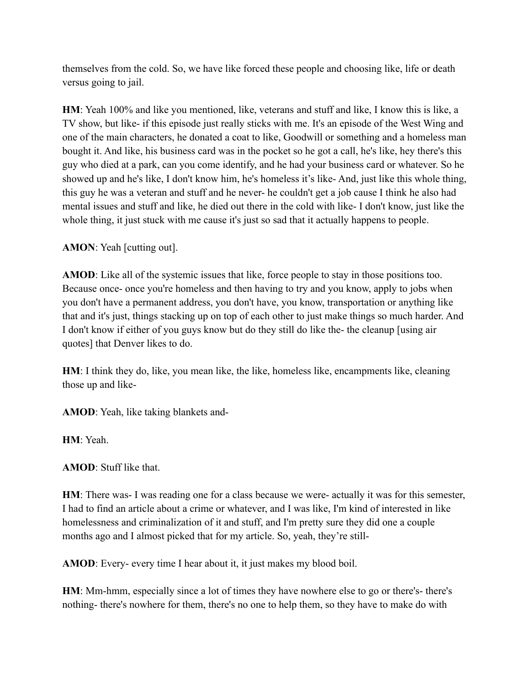themselves from the cold. So, we have like forced these people and choosing like, life or death versus going to jail.

**HM**: Yeah 100% and like you mentioned, like, veterans and stuff and like, I know this is like, a TV show, but like- if this episode just really sticks with me. It's an episode of the West Wing and one of the main characters, he donated a coat to like, Goodwill or something and a homeless man bought it. And like, his business card was in the pocket so he got a call, he's like, hey there's this guy who died at a park, can you come identify, and he had your business card or whatever. So he showed up and he's like, I don't know him, he's homeless it's like- And, just like this whole thing, this guy he was a veteran and stuff and he never- he couldn't get a job cause I think he also had mental issues and stuff and like, he died out there in the cold with like- I don't know, just like the whole thing, it just stuck with me cause it's just so sad that it actually happens to people.

**AMON**: Yeah [cutting out].

**AMOD**: Like all of the systemic issues that like, force people to stay in those positions too. Because once- once you're homeless and then having to try and you know, apply to jobs when you don't have a permanent address, you don't have, you know, transportation or anything like that and it's just, things stacking up on top of each other to just make things so much harder. And I don't know if either of you guys know but do they still do like the- the cleanup [using air quotes] that Denver likes to do.

**HM**: I think they do, like, you mean like, the like, homeless like, encampments like, cleaning those up and like-

**AMOD**: Yeah, like taking blankets and-

**HM**: Yeah.

**AMOD**: Stuff like that.

**HM**: There was- I was reading one for a class because we were- actually it was for this semester, I had to find an article about a crime or whatever, and I was like, I'm kind of interested in like homelessness and criminalization of it and stuff, and I'm pretty sure they did one a couple months ago and I almost picked that for my article. So, yeah, they're still-

**AMOD**: Every- every time I hear about it, it just makes my blood boil.

**HM**: Mm-hmm, especially since a lot of times they have nowhere else to go or there's- there's nothing- there's nowhere for them, there's no one to help them, so they have to make do with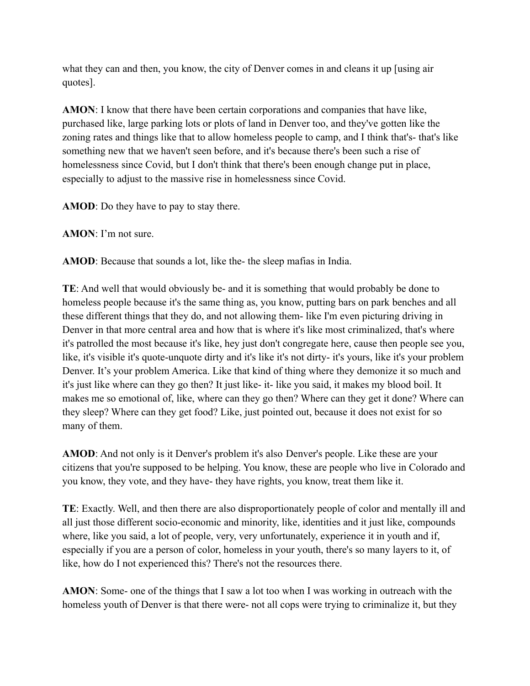what they can and then, you know, the city of Denver comes in and cleans it up [using air quotes].

**AMON**: I know that there have been certain corporations and companies that have like, purchased like, large parking lots or plots of land in Denver too, and they've gotten like the zoning rates and things like that to allow homeless people to camp, and I think that's- that's like something new that we haven't seen before, and it's because there's been such a rise of homelessness since Covid, but I don't think that there's been enough change put in place, especially to adjust to the massive rise in homelessness since Covid.

**AMOD**: Do they have to pay to stay there.

**AMON**: I'm not sure.

**AMOD**: Because that sounds a lot, like the- the sleep mafias in India.

**TE**: And well that would obviously be- and it is something that would probably be done to homeless people because it's the same thing as, you know, putting bars on park benches and all these different things that they do, and not allowing them- like I'm even picturing driving in Denver in that more central area and how that is where it's like most criminalized, that's where it's patrolled the most because it's like, hey just don't congregate here, cause then people see you, like, it's visible it's quote-unquote dirty and it's like it's not dirty- it's yours, like it's your problem Denver. It's your problem America. Like that kind of thing where they demonize it so much and it's just like where can they go then? It just like- it- like you said, it makes my blood boil. It makes me so emotional of, like, where can they go then? Where can they get it done? Where can they sleep? Where can they get food? Like, just pointed out, because it does not exist for so many of them.

**AMOD**: And not only is it Denver's problem it's also Denver's people. Like these are your citizens that you're supposed to be helping. You know, these are people who live in Colorado and you know, they vote, and they have- they have rights, you know, treat them like it.

**TE**: Exactly. Well, and then there are also disproportionately people of color and mentally ill and all just those different socio-economic and minority, like, identities and it just like, compounds where, like you said, a lot of people, very, very unfortunately, experience it in youth and if, especially if you are a person of color, homeless in your youth, there's so many layers to it, of like, how do I not experienced this? There's not the resources there.

**AMON**: Some- one of the things that I saw a lot too when I was working in outreach with the homeless youth of Denver is that there were- not all cops were trying to criminalize it, but they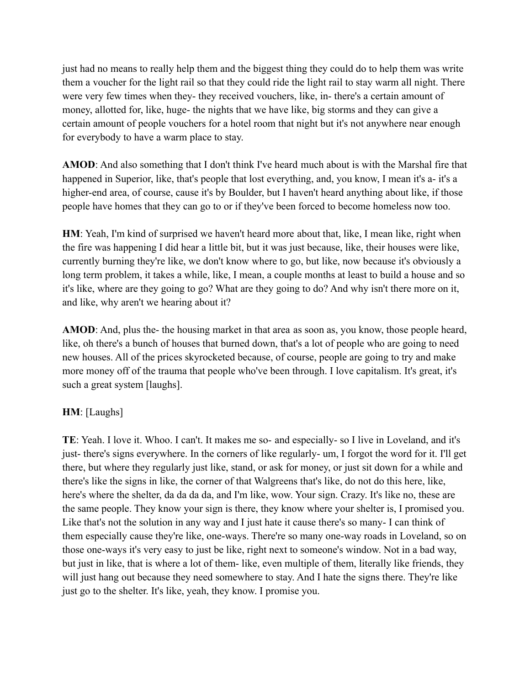just had no means to really help them and the biggest thing they could do to help them was write them a voucher for the light rail so that they could ride the light rail to stay warm all night. There were very few times when they- they received vouchers, like, in- there's a certain amount of money, allotted for, like, huge- the nights that we have like, big storms and they can give a certain amount of people vouchers for a hotel room that night but it's not anywhere near enough for everybody to have a warm place to stay.

**AMOD**: And also something that I don't think I've heard much about is with the Marshal fire that happened in Superior, like, that's people that lost everything, and, you know, I mean it's a- it's a higher-end area, of course, cause it's by Boulder, but I haven't heard anything about like, if those people have homes that they can go to or if they've been forced to become homeless now too.

**HM**: Yeah, I'm kind of surprised we haven't heard more about that, like, I mean like, right when the fire was happening I did hear a little bit, but it was just because, like, their houses were like, currently burning they're like, we don't know where to go, but like, now because it's obviously a long term problem, it takes a while, like, I mean, a couple months at least to build a house and so it's like, where are they going to go? What are they going to do? And why isn't there more on it, and like, why aren't we hearing about it?

**AMOD**: And, plus the- the housing market in that area as soon as, you know, those people heard, like, oh there's a bunch of houses that burned down, that's a lot of people who are going to need new houses. All of the prices skyrocketed because, of course, people are going to try and make more money off of the trauma that people who've been through. I love capitalism. It's great, it's such a great system [laughs].

### **HM**: [Laughs]

**TE**: Yeah. I love it. Whoo. I can't. It makes me so- and especially- so I live in Loveland, and it's just- there's signs everywhere. In the corners of like regularly- um, I forgot the word for it. I'll get there, but where they regularly just like, stand, or ask for money, or just sit down for a while and there's like the signs in like, the corner of that Walgreens that's like, do not do this here, like, here's where the shelter, da da da da, and I'm like, wow. Your sign. Crazy. It's like no, these are the same people. They know your sign is there, they know where your shelter is, I promised you. Like that's not the solution in any way and I just hate it cause there's so many- I can think of them especially cause they're like, one-ways. There're so many one-way roads in Loveland, so on those one-ways it's very easy to just be like, right next to someone's window. Not in a bad way, but just in like, that is where a lot of them- like, even multiple of them, literally like friends, they will just hang out because they need somewhere to stay. And I hate the signs there. They're like just go to the shelter. It's like, yeah, they know. I promise you.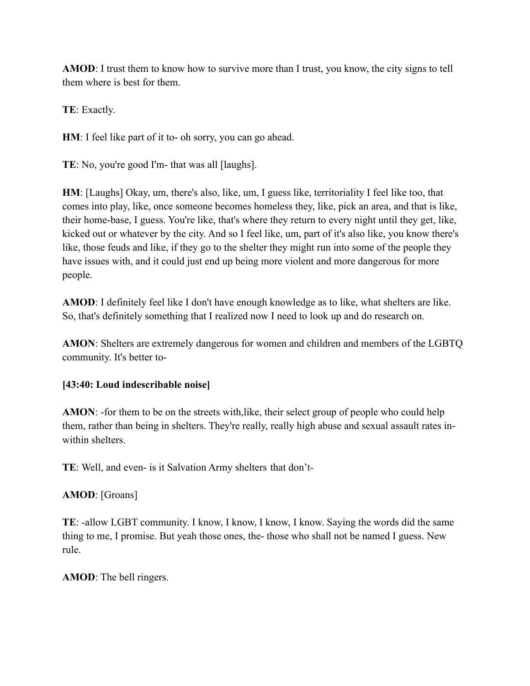**AMOD**: I trust them to know how to survive more than I trust, you know, the city signs to tell them where is best for them.

**TE**: Exactly.

**HM**: I feel like part of it to- oh sorry, you can go ahead.

**TE**: No, you're good I'm- that was all [laughs].

**HM**: [Laughs] Okay, um, there's also, like, um, I guess like, territoriality I feel like too, that comes into play, like, once someone becomes homeless they, like, pick an area, and that is like, their home-base, I guess. You're like, that's where they return to every night until they get, like, kicked out or whatever by the city. And so I feel like, um, part of it's also like, you know there's like, those feuds and like, if they go to the shelter they might run into some of the people they have issues with, and it could just end up being more violent and more dangerous for more people.

**AMOD**: I definitely feel like I don't have enough knowledge as to like, what shelters are like. So, that's definitely something that I realized now I need to look up and do research on.

**AMON**: Shelters are extremely dangerous for women and children and members of the LGBTQ community. It's better to-

### **[43:40: Loud indescribable noise]**

**AMON**: -for them to be on the streets with,like, their select group of people who could help them, rather than being in shelters. They're really, really high abuse and sexual assault rates inwithin shelters.

**TE**: Well, and even- is it Salvation Army shelters that don't-

## **AMOD**: [Groans]

**TE**: -allow LGBT community. I know, I know, I know, I know. Saying the words did the same thing to me, I promise. But yeah those ones, the- those who shall not be named I guess. New rule.

**AMOD**: The bell ringers.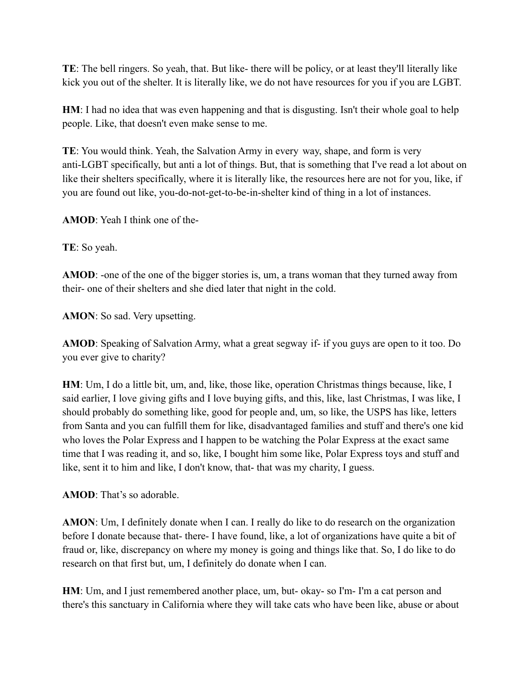**TE**: The bell ringers. So yeah, that. But like- there will be policy, or at least they'll literally like kick you out of the shelter. It is literally like, we do not have resources for you if you are LGBT.

**HM**: I had no idea that was even happening and that is disgusting. Isn't their whole goal to help people. Like, that doesn't even make sense to me.

**TE**: You would think. Yeah, the Salvation Army in every way, shape, and form is very anti-LGBT specifically, but anti a lot of things. But, that is something that I've read a lot about on like their shelters specifically, where it is literally like, the resources here are not for you, like, if you are found out like, you-do-not-get-to-be-in-shelter kind of thing in a lot of instances.

**AMOD**: Yeah I think one of the-

**TE**: So yeah.

**AMOD**: -one of the one of the bigger stories is, um, a trans woman that they turned away from their- one of their shelters and she died later that night in the cold.

**AMON**: So sad. Very upsetting.

**AMOD**: Speaking of Salvation Army, what a great segway if- if you guys are open to it too. Do you ever give to charity?

**HM**: Um, I do a little bit, um, and, like, those like, operation Christmas things because, like, I said earlier, I love giving gifts and I love buying gifts, and this, like, last Christmas, I was like, I should probably do something like, good for people and, um, so like, the USPS has like, letters from Santa and you can fulfill them for like, disadvantaged families and stuff and there's one kid who loves the Polar Express and I happen to be watching the Polar Express at the exact same time that I was reading it, and so, like, I bought him some like, Polar Express toys and stuff and like, sent it to him and like, I don't know, that- that was my charity, I guess.

**AMOD**: That's so adorable.

**AMON**: Um, I definitely donate when I can. I really do like to do research on the organization before I donate because that- there- I have found, like, a lot of organizations have quite a bit of fraud or, like, discrepancy on where my money is going and things like that. So, I do like to do research on that first but, um, I definitely do donate when I can.

**HM**: Um, and I just remembered another place, um, but- okay- so I'm- I'm a cat person and there's this sanctuary in California where they will take cats who have been like, abuse or about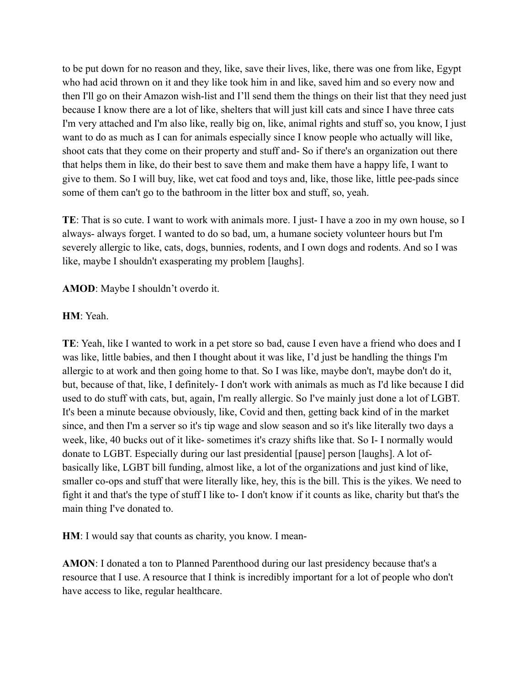to be put down for no reason and they, like, save their lives, like, there was one from like, Egypt who had acid thrown on it and they like took him in and like, saved him and so every now and then I'll go on their Amazon wish-list and I'll send them the things on their list that they need just because I know there are a lot of like, shelters that will just kill cats and since I have three cats I'm very attached and I'm also like, really big on, like, animal rights and stuff so, you know, I just want to do as much as I can for animals especially since I know people who actually will like, shoot cats that they come on their property and stuff and- So if there's an organization out there that helps them in like, do their best to save them and make them have a happy life, I want to give to them. So I will buy, like, wet cat food and toys and, like, those like, little pee-pads since some of them can't go to the bathroom in the litter box and stuff, so, yeah.

**TE**: That is so cute. I want to work with animals more. I just- I have a zoo in my own house, so I always- always forget. I wanted to do so bad, um, a humane society volunteer hours but I'm severely allergic to like, cats, dogs, bunnies, rodents, and I own dogs and rodents. And so I was like, maybe I shouldn't exasperating my problem [laughs].

**AMOD**: Maybe I shouldn't overdo it.

## **HM**: Yeah.

**TE**: Yeah, like I wanted to work in a pet store so bad, cause I even have a friend who does and I was like, little babies, and then I thought about it was like, I'd just be handling the things I'm allergic to at work and then going home to that. So I was like, maybe don't, maybe don't do it, but, because of that, like, I definitely- I don't work with animals as much as I'd like because I did used to do stuff with cats, but, again, I'm really allergic. So I've mainly just done a lot of LGBT. It's been a minute because obviously, like, Covid and then, getting back kind of in the market since, and then I'm a server so it's tip wage and slow season and so it's like literally two days a week, like, 40 bucks out of it like- sometimes it's crazy shifts like that. So I- I normally would donate to LGBT. Especially during our last presidential [pause] person [laughs]. A lot ofbasically like, LGBT bill funding, almost like, a lot of the organizations and just kind of like, smaller co-ops and stuff that were literally like, hey, this is the bill. This is the yikes. We need to fight it and that's the type of stuff I like to- I don't know if it counts as like, charity but that's the main thing I've donated to.

**HM**: I would say that counts as charity, you know. I mean-

**AMON**: I donated a ton to Planned Parenthood during our last presidency because that's a resource that I use. A resource that I think is incredibly important for a lot of people who don't have access to like, regular healthcare.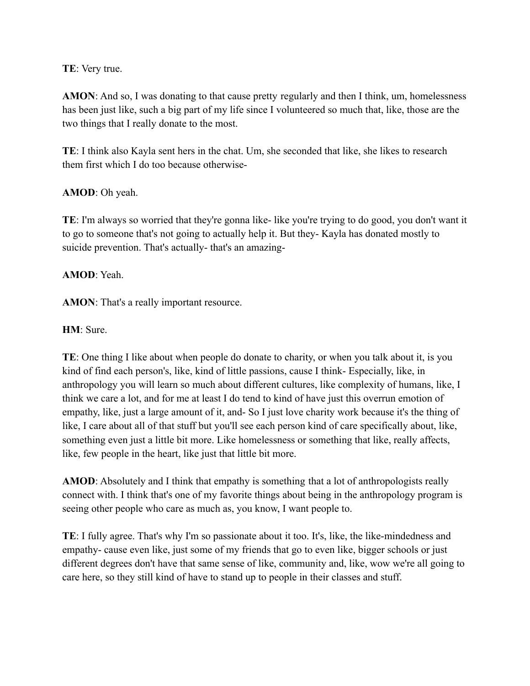#### **TE**: Very true.

**AMON**: And so, I was donating to that cause pretty regularly and then I think, um, homelessness has been just like, such a big part of my life since I volunteered so much that, like, those are the two things that I really donate to the most.

**TE**: I think also Kayla sent hers in the chat. Um, she seconded that like, she likes to research them first which I do too because otherwise-

### **AMOD**: Oh yeah.

**TE**: I'm always so worried that they're gonna like- like you're trying to do good, you don't want it to go to someone that's not going to actually help it. But they- Kayla has donated mostly to suicide prevention. That's actually- that's an amazing-

### **AMOD**: Yeah.

AMON: That's a really important resource.

#### **HM**: Sure.

**TE**: One thing I like about when people do donate to charity, or when you talk about it, is you kind of find each person's, like, kind of little passions, cause I think- Especially, like, in anthropology you will learn so much about different cultures, like complexity of humans, like, I think we care a lot, and for me at least I do tend to kind of have just this overrun emotion of empathy, like, just a large amount of it, and- So I just love charity work because it's the thing of like, I care about all of that stuff but you'll see each person kind of care specifically about, like, something even just a little bit more. Like homelessness or something that like, really affects, like, few people in the heart, like just that little bit more.

**AMOD**: Absolutely and I think that empathy is something that a lot of anthropologists really connect with. I think that's one of my favorite things about being in the anthropology program is seeing other people who care as much as, you know, I want people to.

**TE**: I fully agree. That's why I'm so passionate about it too. It's, like, the like-mindedness and empathy- cause even like, just some of my friends that go to even like, bigger schools or just different degrees don't have that same sense of like, community and, like, wow we're all going to care here, so they still kind of have to stand up to people in their classes and stuff.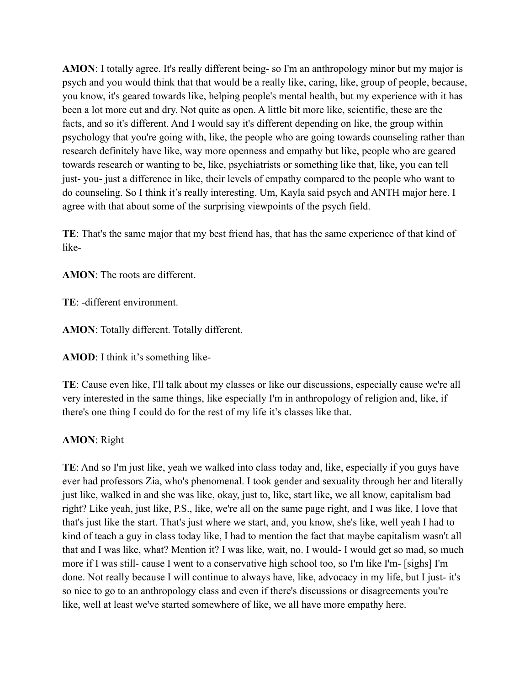**AMON**: I totally agree. It's really different being- so I'm an anthropology minor but my major is psych and you would think that that would be a really like, caring, like, group of people, because, you know, it's geared towards like, helping people's mental health, but my experience with it has been a lot more cut and dry. Not quite as open. A little bit more like, scientific, these are the facts, and so it's different. And I would say it's different depending on like, the group within psychology that you're going with, like, the people who are going towards counseling rather than research definitely have like, way more openness and empathy but like, people who are geared towards research or wanting to be, like, psychiatrists or something like that, like, you can tell just- you- just a difference in like, their levels of empathy compared to the people who want to do counseling. So I think it's really interesting. Um, Kayla said psych and ANTH major here. I agree with that about some of the surprising viewpoints of the psych field.

**TE**: That's the same major that my best friend has, that has the same experience of that kind of like-

**AMON**: The roots are different.

**TE**: -different environment.

**AMON**: Totally different. Totally different.

**AMOD**: I think it's something like-

**TE**: Cause even like, I'll talk about my classes or like our discussions, especially cause we're all very interested in the same things, like especially I'm in anthropology of religion and, like, if there's one thing I could do for the rest of my life it's classes like that.

### **AMON**: Right

**TE**: And so I'm just like, yeah we walked into class today and, like, especially if you guys have ever had professors Zia, who's phenomenal. I took gender and sexuality through her and literally just like, walked in and she was like, okay, just to, like, start like, we all know, capitalism bad right? Like yeah, just like, P.S., like, we're all on the same page right, and I was like, I love that that's just like the start. That's just where we start, and, you know, she's like, well yeah I had to kind of teach a guy in class today like, I had to mention the fact that maybe capitalism wasn't all that and I was like, what? Mention it? I was like, wait, no. I would- I would get so mad, so much more if I was still- cause I went to a conservative high school too, so I'm like I'm- [sighs] I'm done. Not really because I will continue to always have, like, advocacy in my life, but I just- it's so nice to go to an anthropology class and even if there's discussions or disagreements you're like, well at least we've started somewhere of like, we all have more empathy here.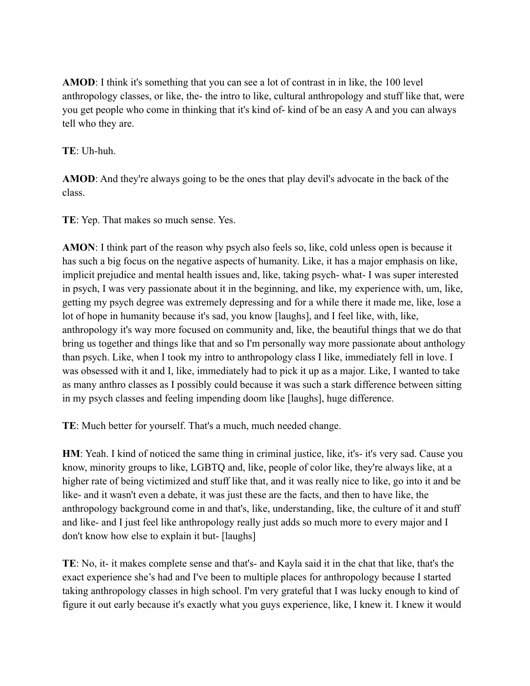**AMOD**: I think it's something that you can see a lot of contrast in in like, the 100 level anthropology classes, or like, the- the intro to like, cultural anthropology and stuff like that, were you get people who come in thinking that it's kind of- kind of be an easy A and you can always tell who they are.

**TE**: Uh-huh.

**AMOD**: And they're always going to be the ones that play devil's advocate in the back of the class.

**TE**: Yep. That makes so much sense. Yes.

**AMON**: I think part of the reason why psych also feels so, like, cold unless open is because it has such a big focus on the negative aspects of humanity. Like, it has a major emphasis on like, implicit prejudice and mental health issues and, like, taking psych- what- I was super interested in psych, I was very passionate about it in the beginning, and like, my experience with, um, like, getting my psych degree was extremely depressing and for a while there it made me, like, lose a lot of hope in humanity because it's sad, you know [laughs], and I feel like, with, like, anthropology it's way more focused on community and, like, the beautiful things that we do that bring us together and things like that and so I'm personally way more passionate about anthology than psych. Like, when I took my intro to anthropology class I like, immediately fell in love. I was obsessed with it and I, like, immediately had to pick it up as a major. Like, I wanted to take as many anthro classes as I possibly could because it was such a stark difference between sitting in my psych classes and feeling impending doom like [laughs], huge difference.

**TE**: Much better for yourself. That's a much, much needed change.

**HM**: Yeah. I kind of noticed the same thing in criminal justice, like, it's- it's very sad. Cause you know, minority groups to like, LGBTQ and, like, people of color like, they're always like, at a higher rate of being victimized and stuff like that, and it was really nice to like, go into it and be like- and it wasn't even a debate, it was just these are the facts, and then to have like, the anthropology background come in and that's, like, understanding, like, the culture of it and stuff and like- and I just feel like anthropology really just adds so much more to every major and I don't know how else to explain it but- [laughs]

**TE**: No, it- it makes complete sense and that's- and Kayla said it in the chat that like, that's the exact experience she's had and I've been to multiple places for anthropology because I started taking anthropology classes in high school. I'm very grateful that I was lucky enough to kind of figure it out early because it's exactly what you guys experience, like, I knew it. I knew it would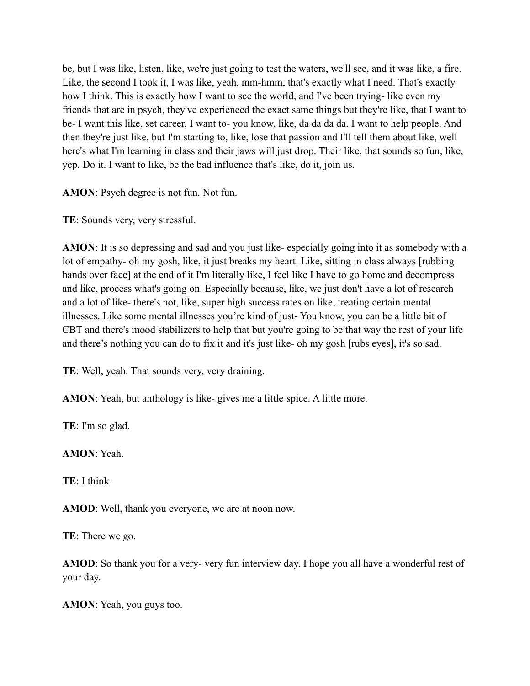be, but I was like, listen, like, we're just going to test the waters, we'll see, and it was like, a fire. Like, the second I took it, I was like, yeah, mm-hmm, that's exactly what I need. That's exactly how I think. This is exactly how I want to see the world, and I've been trying- like even my friends that are in psych, they've experienced the exact same things but they're like, that I want to be- I want this like, set career, I want to- you know, like, da da da da. I want to help people. And then they're just like, but I'm starting to, like, lose that passion and I'll tell them about like, well here's what I'm learning in class and their jaws will just drop. Their like, that sounds so fun, like, yep. Do it. I want to like, be the bad influence that's like, do it, join us.

**AMON**: Psych degree is not fun. Not fun.

**TE**: Sounds very, very stressful.

**AMON**: It is so depressing and sad and you just like- especially going into it as somebody with a lot of empathy- oh my gosh, like, it just breaks my heart. Like, sitting in class always [rubbing hands over face] at the end of it I'm literally like, I feel like I have to go home and decompress and like, process what's going on. Especially because, like, we just don't have a lot of research and a lot of like- there's not, like, super high success rates on like, treating certain mental illnesses. Like some mental illnesses you're kind of just- You know, you can be a little bit of CBT and there's mood stabilizers to help that but you're going to be that way the rest of your life and there's nothing you can do to fix it and it's just like- oh my gosh [rubs eyes], it's so sad.

**TE**: Well, yeah. That sounds very, very draining.

**AMON**: Yeah, but anthology is like-gives me a little spice. A little more.

**TE**: I'm so glad.

**AMON**: Yeah.

**TE**: I think-

**AMOD**: Well, thank you everyone, we are at noon now.

**TE**: There we go.

**AMOD**: So thank you for a very- very fun interview day. I hope you all have a wonderful rest of your day.

**AMON**: Yeah, you guys too.